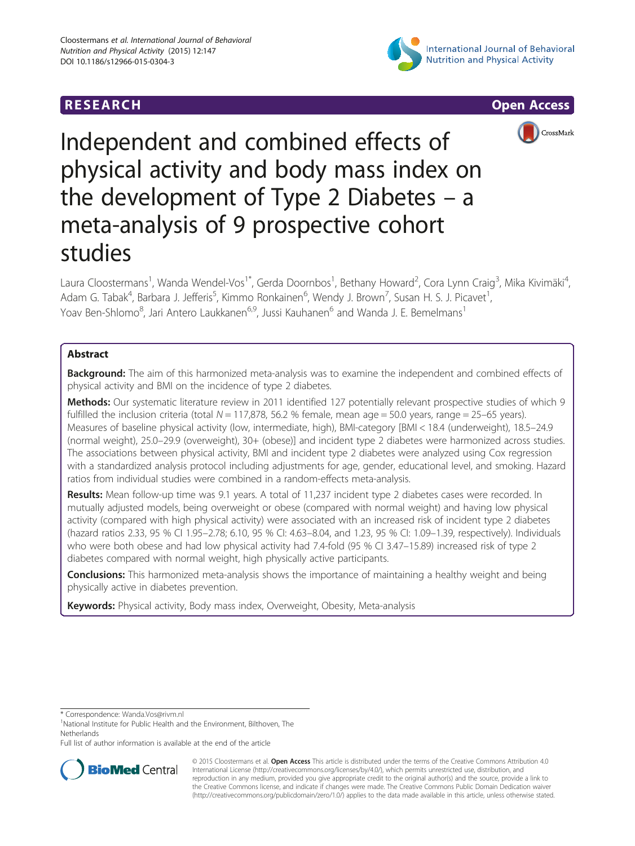





Independent and combined effects of physical activity and body mass index on the development of Type 2 Diabetes – a meta-analysis of 9 prospective cohort studies

Laura Cloostermans<sup>1</sup>, Wanda Wendel-Vos<sup>1\*</sup>, Gerda Doornbos<sup>1</sup>, Bethany Howard<sup>2</sup>, Cora Lynn Craig<sup>3</sup>, Mika Kivimäki<sup>4</sup> , Adam G. Tabak<sup>4</sup>, Barbara J. Jefferis<sup>5</sup>, Kimmo Ronkainen<sup>6</sup>, Wendy J. Brown<sup>7</sup>, Susan H. S. J. Picavet<sup>1</sup> , Yoav Ben-Shlomo<sup>8</sup>, Jari Antero Laukkanen<sup>6,9</sup>, Jussi Kauhanen<sup>6</sup> and Wanda J. E. Bemelmans<sup>1</sup>

# Abstract

**Background:** The aim of this harmonized meta-analysis was to examine the independent and combined effects of physical activity and BMI on the incidence of type 2 diabetes.

Methods: Our systematic literature review in 2011 identified 127 potentially relevant prospective studies of which 9 fulfilled the inclusion criteria (total  $N = 117,878, 56.2$  % female, mean age = 50.0 years, range = 25–65 years). Measures of baseline physical activity (low, intermediate, high), BMI-category [BMI < 18.4 (underweight), 18.5–24.9 (normal weight), 25.0–29.9 (overweight), 30+ (obese)] and incident type 2 diabetes were harmonized across studies. The associations between physical activity, BMI and incident type 2 diabetes were analyzed using Cox regression with a standardized analysis protocol including adjustments for age, gender, educational level, and smoking. Hazard ratios from individual studies were combined in a random-effects meta-analysis.

Results: Mean follow-up time was 9.1 years. A total of 11,237 incident type 2 diabetes cases were recorded. In mutually adjusted models, being overweight or obese (compared with normal weight) and having low physical activity (compared with high physical activity) were associated with an increased risk of incident type 2 diabetes (hazard ratios 2.33, 95 % CI 1.95–2.78; 6.10, 95 % CI: 4.63–8.04, and 1.23, 95 % CI: 1.09–1.39, respectively). Individuals who were both obese and had low physical activity had 7.4-fold (95 % CI 3.47–15.89) increased risk of type 2 diabetes compared with normal weight, high physically active participants.

**Conclusions:** This harmonized meta-analysis shows the importance of maintaining a healthy weight and being physically active in diabetes prevention.

Keywords: Physical activity, Body mass index, Overweight, Obesity, Meta-analysis

\* Correspondence: [Wanda.Vos@rivm.nl](mailto:Wanda.Vos@rivm.nl) <sup>1</sup>

Full list of author information is available at the end of the article



© 2015 Cloostermans et al. Open Access This article is distributed under the terms of the Creative Commons Attribution 4.0 International License [\(http://creativecommons.org/licenses/by/4.0/](http://creativecommons.org/licenses/by/4.0/)), which permits unrestricted use, distribution, and reproduction in any medium, provided you give appropriate credit to the original author(s) and the source, provide a link to the Creative Commons license, and indicate if changes were made. The Creative Commons Public Domain Dedication waiver [\(http://creativecommons.org/publicdomain/zero/1.0/](http://creativecommons.org/publicdomain/zero/1.0/)) applies to the data made available in this article, unless otherwise stated.

<sup>&</sup>lt;sup>1</sup>National Institute for Public Health and the Environment, Bilthoven, The Netherlands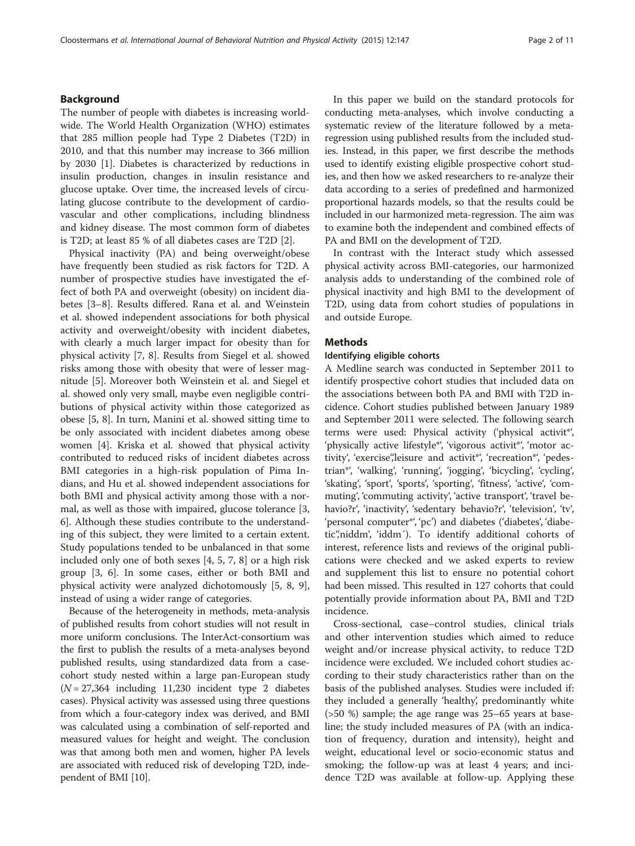# Background

The number of people with diabetes is increasing worldwide. The World Health Organization (WHO) estimates that 285 million people had Type 2 Diabetes (T2D) in 2010, and that this number may increase to 366 million by 2030 [[1\]](#page-9-0). Diabetes is characterized by reductions in insulin production, changes in insulin resistance and glucose uptake. Over time, the increased levels of circulating glucose contribute to the development of cardiovascular and other complications, including blindness and kidney disease. The most common form of diabetes is T2D; at least 85 % of all diabetes cases are T2D [[2](#page-9-0)].

Physical inactivity (PA) and being overweight/obese have frequently been studied as risk factors for T2D. A number of prospective studies have investigated the effect of both PA and overweight (obesity) on incident diabetes [[3](#page-9-0)–[8\]](#page-9-0). Results differed. Rana et al. and Weinstein et al. showed independent associations for both physical activity and overweight/obesity with incident diabetes, with clearly a much larger impact for obesity than for physical activity [[7, 8](#page-9-0)]. Results from Siegel et al. showed risks among those with obesity that were of lesser magnitude [\[5](#page-9-0)]. Moreover both Weinstein et al. and Siegel et al. showed only very small, maybe even negligible contributions of physical activity within those categorized as obese [[5, 8\]](#page-9-0). In turn, Manini et al. showed sitting time to be only associated with incident diabetes among obese women [[4\]](#page-9-0). Kriska et al. showed that physical activity contributed to reduced risks of incident diabetes across BMI categories in a high-risk population of Pima Indians, and Hu et al. showed independent associations for both BMI and physical activity among those with a normal, as well as those with impaired, glucose tolerance [\[3](#page-9-0), [6\]](#page-9-0). Although these studies contribute to the understanding of this subject, they were limited to a certain extent. Study populations tended to be unbalanced in that some included only one of both sexes [[4, 5, 7, 8](#page-9-0)] or a high risk group [\[3, 6](#page-9-0)]. In some cases, either or both BMI and physical activity were analyzed dichotomously [[5, 8, 9](#page-9-0)], instead of using a wider range of categories.

Because of the heterogeneity in methods, meta-analysis of published results from cohort studies will not result in more uniform conclusions. The InterAct-consortium was the first to publish the results of a meta-analyses beyond published results, using standardized data from a casecohort study nested within a large pan-European study  $(N = 27,364$  including 11,230 incident type 2 diabetes cases). Physical activity was assessed using three questions from which a four-category index was derived, and BMI was calculated using a combination of self-reported and measured values for height and weight. The conclusion was that among both men and women, higher PA levels are associated with reduced risk of developing T2D, independent of BMI [\[10\]](#page-9-0).

In this paper we build on the standard protocols for conducting meta-analyses, which involve conducting a systematic review of the literature followed by a metaregression using published results from the included studies. Instead, in this paper, we first describe the methods used to identify existing eligible prospective cohort studies, and then how we asked researchers to re-analyze their data according to a series of predefined and harmonized proportional hazards models, so that the results could be included in our harmonized meta-regression. The aim was to examine both the independent and combined effects of PA and BMI on the development of T2D.

In contrast with the Interact study which assessed physical activity across BMI-categories, our harmonized analysis adds to understanding of the combined role of physical inactivity and high BMI to the development of T2D, using data from cohort studies of populations in and outside Europe.

# **Methods**

# Identifying eligible cohorts

A Medline search was conducted in September 2011 to identify prospective cohort studies that included data on the associations between both PA and BMI with T2D incidence. Cohort studies published between January 1989 and September 2011 were selected. The following search terms were used: Physical activity ('physical activit\*', 'physically active lifestyle\*', 'vigorous activit\*', 'motor activity', 'exercise''leisure and activit<sup>\*'</sup>, 'recreation<sup>\*'</sup>, 'pedestrian\*', 'walking', 'running', 'jogging', 'bicycling', 'cycling', 'skating', 'sport', 'sports', 'sporting', 'fitness', 'active', 'commuting', 'commuting activity', 'active transport', 'travel behavio?r', 'inactivity', 'sedentary behavio?r', 'television', 'tv', 'personal computer\*', 'pc') and diabetes ('diabetes', 'diabetic",niddm', 'iddm'). To identify additional cohorts of interest, reference lists and reviews of the original publications were checked and we asked experts to review and supplement this list to ensure no potential cohort had been missed. This resulted in 127 cohorts that could potentially provide information about PA, BMI and T2D incidence.

Cross-sectional, case–control studies, clinical trials and other intervention studies which aimed to reduce weight and/or increase physical activity, to reduce T2D incidence were excluded. We included cohort studies according to their study characteristics rather than on the basis of the published analyses. Studies were included if: they included a generally 'healthy', predominantly white (>50 %) sample; the age range was 25–65 years at baseline; the study included measures of PA (with an indication of frequency, duration and intensity), height and weight, educational level or socio-economic status and smoking; the follow-up was at least 4 years; and incidence T2D was available at follow-up. Applying these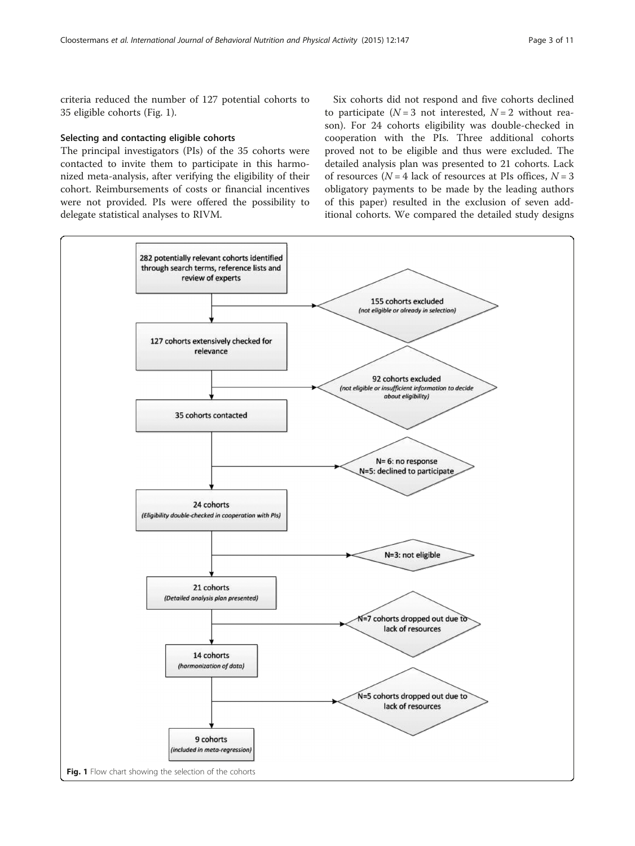criteria reduced the number of 127 potential cohorts to 35 eligible cohorts (Fig. 1).

# Selecting and contacting eligible cohorts

The principal investigators (PIs) of the 35 cohorts were contacted to invite them to participate in this harmonized meta-analysis, after verifying the eligibility of their cohort. Reimbursements of costs or financial incentives were not provided. PIs were offered the possibility to delegate statistical analyses to RIVM.

Six cohorts did not respond and five cohorts declined to participate  $(N=3$  not interested,  $N=2$  without reason). For 24 cohorts eligibility was double-checked in cooperation with the PIs. Three additional cohorts proved not to be eligible and thus were excluded. The detailed analysis plan was presented to 21 cohorts. Lack of resources ( $N = 4$  lack of resources at PIs offices,  $N = 3$ obligatory payments to be made by the leading authors of this paper) resulted in the exclusion of seven additional cohorts. We compared the detailed study designs

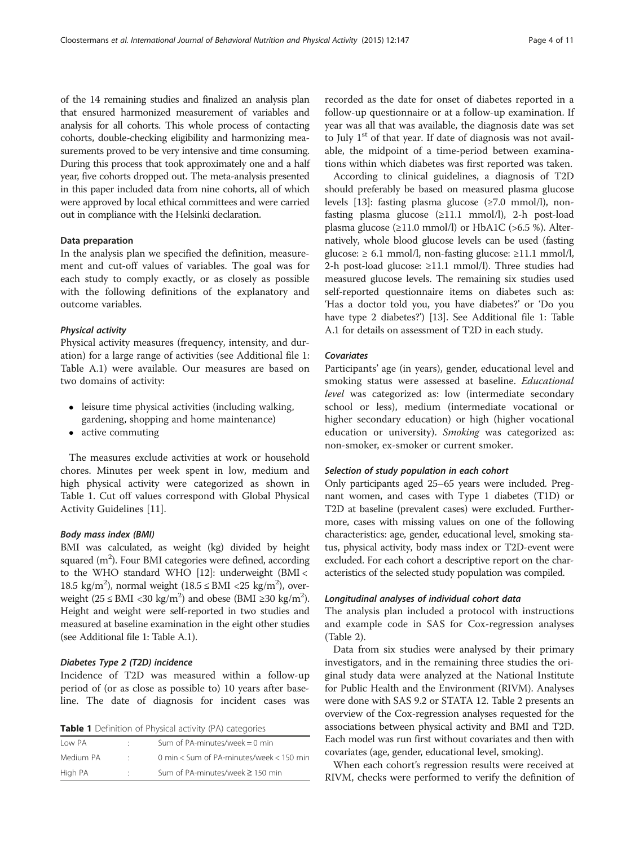of the 14 remaining studies and finalized an analysis plan that ensured harmonized measurement of variables and analysis for all cohorts. This whole process of contacting cohorts, double-checking eligibility and harmonizing measurements proved to be very intensive and time consuming. During this process that took approximately one and a half year, five cohorts dropped out. The meta-analysis presented in this paper included data from nine cohorts, all of which were approved by local ethical committees and were carried out in compliance with the Helsinki declaration.

# Data preparation

In the analysis plan we specified the definition, measurement and cut-off values of variables. The goal was for each study to comply exactly, or as closely as possible with the following definitions of the explanatory and outcome variables.

# Physical activity

Physical activity measures (frequency, intensity, and duration) for a large range of activities (see Additional file [1](#page-9-0): Table A.1) were available. Our measures are based on two domains of activity:

- leisure time physical activities (including walking, gardening, shopping and home maintenance)
- active commuting

The measures exclude activities at work or household chores. Minutes per week spent in low, medium and high physical activity were categorized as shown in Table 1. Cut off values correspond with Global Physical Activity Guidelines [[11\]](#page-9-0).

# Body mass index (BMI)

BMI was calculated, as weight (kg) divided by height squared  $(m^2)$ . Four BMI categories were defined, according to the WHO standard WHO [\[12\]](#page-9-0): underweight (BMI < 18.5 kg/m<sup>2</sup>), normal weight  $(18.5 \leq BMI \lt 25 \text{ kg/m}^2)$ , overweight  $(25 \leq \text{BMI} \leq 30 \text{ kg/m}^2)$  and obese (BMI  $\geq 30 \text{ kg/m}^2$ ). Height and weight were self-reported in two studies and measured at baseline examination in the eight other studies (see Additional file [1:](#page-9-0) Table A.1).

### Diabetes Type 2 (T2D) incidence

Incidence of T2D was measured within a follow-up period of (or as close as possible to) 10 years after baseline. The date of diagnosis for incident cases was

Table 1 Definition of Physical activity (PA) categories

| <b>Low PA</b> | Sum of PA-minutes/week $= 0$ min         |
|---------------|------------------------------------------|
| Medium PA     | 0 min < Sum of PA-minutes/week < 150 min |
| High PA       | Sum of PA-minutes/week ≥ 150 min         |

recorded as the date for onset of diabetes reported in a follow-up questionnaire or at a follow-up examination. If year was all that was available, the diagnosis date was set to July  $1<sup>st</sup>$  of that year. If date of diagnosis was not available, the midpoint of a time-period between examinations within which diabetes was first reported was taken.

According to clinical guidelines, a diagnosis of T2D should preferably be based on measured plasma glucose levels [[13](#page-9-0)]: fasting plasma glucose (≥7.0 mmol/l), nonfasting plasma glucose (≥11.1 mmol/l), 2-h post-load plasma glucose ( $\geq$ 11.0 mmol/l) or HbA1C ( $>$ 6.5 %). Alternatively, whole blood glucose levels can be used (fasting glucose: ≥ 6.1 mmol/l, non-fasting glucose: ≥11.1 mmol/l, 2-h post-load glucose: ≥11.1 mmol/l). Three studies had measured glucose levels. The remaining six studies used self-reported questionnaire items on diabetes such as: 'Has a doctor told you, you have diabetes?' or 'Do you have type 2 diabetes?') [[13](#page-9-0)]. See Additional file [1](#page-9-0): Table A.1 for details on assessment of T2D in each study.

## **Covariates**

Participants' age (in years), gender, educational level and smoking status were assessed at baseline. Educational level was categorized as: low (intermediate secondary school or less), medium (intermediate vocational or higher secondary education) or high (higher vocational education or university). Smoking was categorized as: non-smoker, ex-smoker or current smoker.

### Selection of study population in each cohort

Only participants aged 25–65 years were included. Pregnant women, and cases with Type 1 diabetes (T1D) or T2D at baseline (prevalent cases) were excluded. Furthermore, cases with missing values on one of the following characteristics: age, gender, educational level, smoking status, physical activity, body mass index or T2D-event were excluded. For each cohort a descriptive report on the characteristics of the selected study population was compiled.

#### Longitudinal analyses of individual cohort data

The analysis plan included a protocol with instructions and example code in SAS for Cox-regression analyses (Table [2\)](#page-4-0).

Data from six studies were analysed by their primary investigators, and in the remaining three studies the original study data were analyzed at the National Institute for Public Health and the Environment (RIVM). Analyses were done with SAS 9.2 or STATA 12. Table [2](#page-4-0) presents an overview of the Cox-regression analyses requested for the associations between physical activity and BMI and T2D. Each model was run first without covariates and then with covariates (age, gender, educational level, smoking).

When each cohort's regression results were received at RIVM, checks were performed to verify the definition of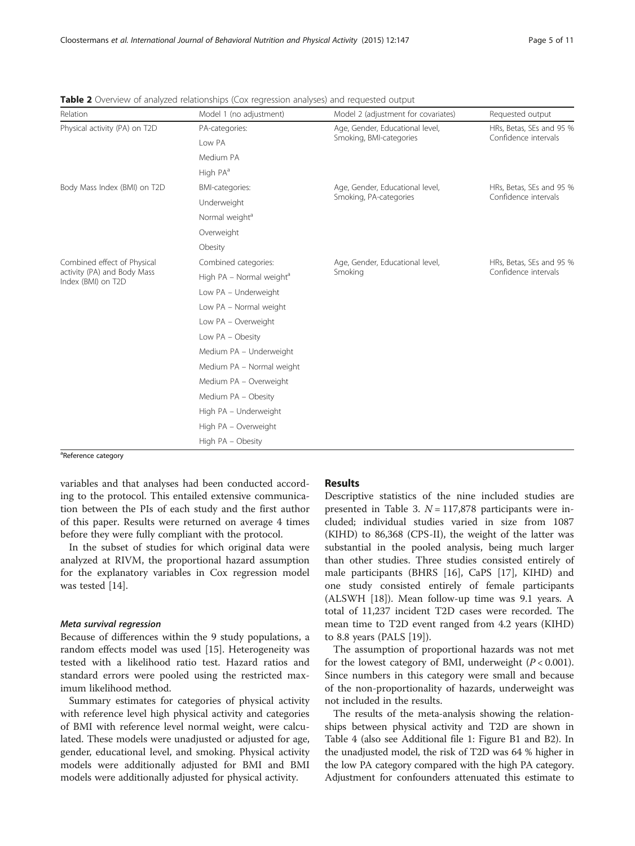| Relation                                          | Model 1 (no adjustment)                                                | Model 2 (adjustment for covariates) | Requested output         |  |  |  |
|---------------------------------------------------|------------------------------------------------------------------------|-------------------------------------|--------------------------|--|--|--|
| Physical activity (PA) on T2D                     | PA-categories:                                                         | Age, Gender, Educational level,     | HRs, Betas, SEs and 95 % |  |  |  |
|                                                   | Low PA                                                                 | Smoking, BMI-categories             | Confidence intervals     |  |  |  |
|                                                   | Medium PA                                                              |                                     |                          |  |  |  |
|                                                   | High PA <sup>a</sup>                                                   |                                     |                          |  |  |  |
| Body Mass Index (BMI) on T2D                      | <b>BMI-categories:</b>                                                 | Age, Gender, Educational level,     | HRs, Betas, SEs and 95 % |  |  |  |
|                                                   | Underweight                                                            | Smoking, PA-categories              | Confidence intervals     |  |  |  |
|                                                   | Normal weight <sup>a</sup>                                             |                                     |                          |  |  |  |
|                                                   | Overweight                                                             |                                     |                          |  |  |  |
|                                                   | Obesity                                                                |                                     |                          |  |  |  |
| Combined effect of Physical                       | Combined categories:                                                   | Age, Gender, Educational level,     | HRs, Betas, SEs and 95 % |  |  |  |
| activity (PA) and Body Mass<br>Index (BMI) on T2D | High PA - Normal weight <sup>a</sup>                                   | Smoking                             | Confidence intervals     |  |  |  |
|                                                   | Low PA - Underweight                                                   |                                     |                          |  |  |  |
|                                                   | Low PA - Normal weight                                                 |                                     |                          |  |  |  |
|                                                   | Low PA - Overweight                                                    |                                     |                          |  |  |  |
|                                                   | Low PA - Obesity                                                       |                                     |                          |  |  |  |
|                                                   | Medium PA - Underweight                                                |                                     |                          |  |  |  |
|                                                   | Medium PA - Normal weight                                              |                                     |                          |  |  |  |
|                                                   | Medium PA - Overweight<br>Medium PA - Obesity<br>High PA - Underweight |                                     |                          |  |  |  |
|                                                   |                                                                        |                                     |                          |  |  |  |
|                                                   |                                                                        |                                     |                          |  |  |  |
|                                                   | High PA - Overweight                                                   |                                     |                          |  |  |  |
|                                                   | High PA - Obesity                                                      |                                     |                          |  |  |  |

<span id="page-4-0"></span>**Table 2** Overview of analyzed relationships (Cox regression analyses) and requested output

<sup>a</sup>Reference category

variables and that analyses had been conducted according to the protocol. This entailed extensive communication between the PIs of each study and the first author of this paper. Results were returned on average 4 times before they were fully compliant with the protocol.

In the subset of studies for which original data were analyzed at RIVM, the proportional hazard assumption for the explanatory variables in Cox regression model was tested [[14\]](#page-9-0).

### Meta survival regression

Because of differences within the 9 study populations, a random effects model was used [[15](#page-9-0)]. Heterogeneity was tested with a likelihood ratio test. Hazard ratios and standard errors were pooled using the restricted maximum likelihood method.

Summary estimates for categories of physical activity with reference level high physical activity and categories of BMI with reference level normal weight, were calculated. These models were unadjusted or adjusted for age, gender, educational level, and smoking. Physical activity models were additionally adjusted for BMI and BMI models were additionally adjusted for physical activity.

## Results

Descriptive statistics of the nine included studies are presented in Table [3](#page-5-0).  $N = 117,878$  participants were included; individual studies varied in size from 1087 (KIHD) to 86,368 (CPS-II), the weight of the latter was substantial in the pooled analysis, being much larger than other studies. Three studies consisted entirely of male participants (BHRS [\[16](#page-10-0)], CaPS [[17\]](#page-10-0), KIHD) and one study consisted entirely of female participants (ALSWH [[18\]](#page-10-0)). Mean follow-up time was 9.1 years. A total of 11,237 incident T2D cases were recorded. The mean time to T2D event ranged from 4.2 years (KIHD) to 8.8 years (PALS [\[19](#page-10-0)]).

The assumption of proportional hazards was not met for the lowest category of BMI, underweight  $(P < 0.001)$ . Since numbers in this category were small and because of the non-proportionality of hazards, underweight was not included in the results.

The results of the meta-analysis showing the relationships between physical activity and T2D are shown in Table [4](#page-7-0) (also see Additional file [1](#page-9-0): Figure B1 and B2). In the unadjusted model, the risk of T2D was 64 % higher in the low PA category compared with the high PA category. Adjustment for confounders attenuated this estimate to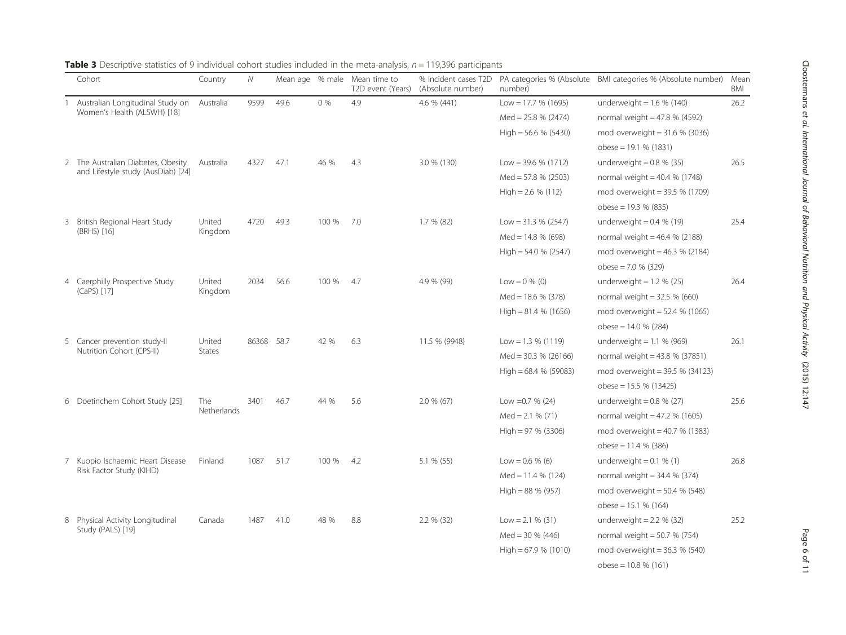|   | Cohort                             | Country       | N          |      |       | Mean age % male Mean time to<br>T2D event (Years) | % Incident cases T2D<br>(Absolute number) | number)                 | PA categories % (Absolute BMI categories % (Absolute number) | Mean<br>BMI |
|---|------------------------------------|---------------|------------|------|-------|---------------------------------------------------|-------------------------------------------|-------------------------|--------------------------------------------------------------|-------------|
|   | Australian Longitudinal Study on   | Australia     | 9599       | 49.6 | 0 %   | 4.9                                               | 4.6 % (441)                               | Low = $17.7$ % (1695)   | underweight = $1.6 % (140)$                                  | 26.2        |
|   | Women's Health (ALSWH) [18]        |               |            |      |       |                                                   |                                           | Med = $25.8$ % (2474)   | normal weight = $47.8 \% (4592)$                             |             |
|   |                                    |               |            |      |       |                                                   |                                           | High = $56.6 \%$ (5430) | mod overweight = $31.6 %$ (3036)                             |             |
|   |                                    |               |            |      |       |                                                   |                                           |                         | $obese = 19.1 % (1831)$                                      |             |
|   | 2 The Australian Diabetes, Obesity | Australia     | 4327       | 47.1 | 46 %  | 4.3                                               | 3.0 % (130)                               | Low = $39.6 \% (1712)$  | underweight = $0.8\%$ (35)                                   | 26.5        |
|   | and Lifestyle study (AusDiab) [24] |               |            |      |       |                                                   |                                           | Med = 57.8 % (2503)     | normal weight = $40.4$ % (1748)                              |             |
|   |                                    |               |            |      |       |                                                   |                                           | High = $2.6 \% (112)$   | mod overweight = 39.5 % (1709)                               |             |
|   |                                    |               |            |      |       |                                                   |                                           |                         | obese = $19.3 % (835)$                                       |             |
|   | 3 British Regional Heart Study     | United        | 4720       | 49.3 | 100 % | 7.0                                               | $1.7 \% (82)$                             | $Low = 31.3 % (2547)$   | underweight = $0.4$ % (19)                                   | 25.4        |
|   | (BRHS) [16]                        | Kingdom       |            |      |       |                                                   |                                           | $Med = 14.8 % (698)$    | normal weight = $46.4 %$ (2188)                              |             |
|   |                                    |               |            |      |       |                                                   |                                           | High = $54.0 \% (2547)$ | mod overweight = $46.3$ % (2184)                             |             |
|   |                                    |               |            |      |       |                                                   |                                           |                         | obese = $7.0 \%$ (329)                                       |             |
|   | 4 Caerphilly Prospective Study     | United        | 2034       | 56.6 | 100 % | 4.7                                               | 4.9 % (99)                                | $Low = 0 % (0)$         | underweight = $1.2 %$ (25)                                   | 26.4        |
|   | (CaPS) [17]                        | Kingdom       |            |      |       |                                                   |                                           | $Med = 18.6 % (378)$    | normal weight = 32.5 % (660)                                 |             |
|   |                                    |               |            |      |       |                                                   |                                           | High = $81.4%$ (1656)   | mod overweight = $52.4$ % (1065)                             |             |
|   |                                    |               |            |      |       |                                                   |                                           |                         | obese = $14.0 \%$ (284)                                      |             |
|   | 5 Cancer prevention study-II       | United        | 86368 58.7 |      | 42 %  | 6.3                                               | 11.5 % (9948)                             | $Low = 1.3 % (1119)$    | underweight = $1.1 % (969)$                                  | 26.1        |
|   | Nutrition Cohort (CPS-II)          | <b>States</b> |            |      |       |                                                   |                                           | $Med = 30.3 % (26166)$  | normal weight = 43.8 % (37851)                               |             |
|   |                                    |               |            |      |       |                                                   |                                           | High = $68.4\%$ (59083) | mod overweight = $39.5 \% (34123)$                           |             |
|   |                                    |               |            |      |       |                                                   |                                           |                         | $obese = 15.5 % (13425)$                                     |             |
|   | 6 Doetinchem Cohort Study [25]     | The           | 3401       | 46.7 | 44 %  | 5.6                                               | $2.0 \% (67)$                             | Low = $0.7$ % (24)      | underweight = $0.8\%$ (27)                                   | 25.6        |
|   |                                    | Netherlands   |            |      |       |                                                   |                                           | $Med = 2.1 % (71)$      | normal weight = $47.2 \% (1605)$                             |             |
|   |                                    |               |            |      |       |                                                   |                                           | $High = 97 % (3306)$    | mod overweight = 40.7 % (1383)                               |             |
|   |                                    |               |            |      |       |                                                   |                                           |                         | obese = $11.4 \%$ (386)                                      |             |
| 7 | Kuopio Ischaemic Heart Disease     | Finland       | 1087       | 51.7 | 100 % | 4.2                                               | $5.1 \% (55)$                             | Low = $0.6\%$ (6)       | underweight = $0.1$ % (1)                                    | 26.8        |
|   | Risk Factor Study (KIHD)           |               |            |      |       |                                                   |                                           | $Med = 11.4 % (124)$    | normal weight = $34.4 % (374)$                               |             |
|   |                                    |               |            |      |       |                                                   |                                           | High = $88\%$ (957)     | mod overweight = $50.4 \%$ (548)                             |             |
|   |                                    |               |            |      |       |                                                   |                                           |                         | obese = $15.1 % (164)$                                       |             |
|   | 8 Physical Activity Longitudinal   | Canada        | 1487       | 41.0 | 48 %  | 8.8                                               | $2.2 \% (32)$                             | $Low = 2.1 % (31)$      | underweight = $2.2 % (32)$                                   | 25.2        |
|   | Study (PALS) [19]                  |               |            |      |       |                                                   |                                           | $Med = 30 % (446)$      | normal weight = 50.7 % (754)                                 |             |
|   |                                    |               |            |      |       |                                                   |                                           | High = $67.9%$ (1010)   | mod overweight = $36.3$ % (540)                              |             |
|   |                                    |               |            |      |       |                                                   |                                           |                         | obese = $10.8 \% (161)$                                      |             |

<span id="page-5-0"></span>Table 3 Descriptive statistics of 9 individual cohort studies included in the meta-analysis,  $n = 119,396$  participants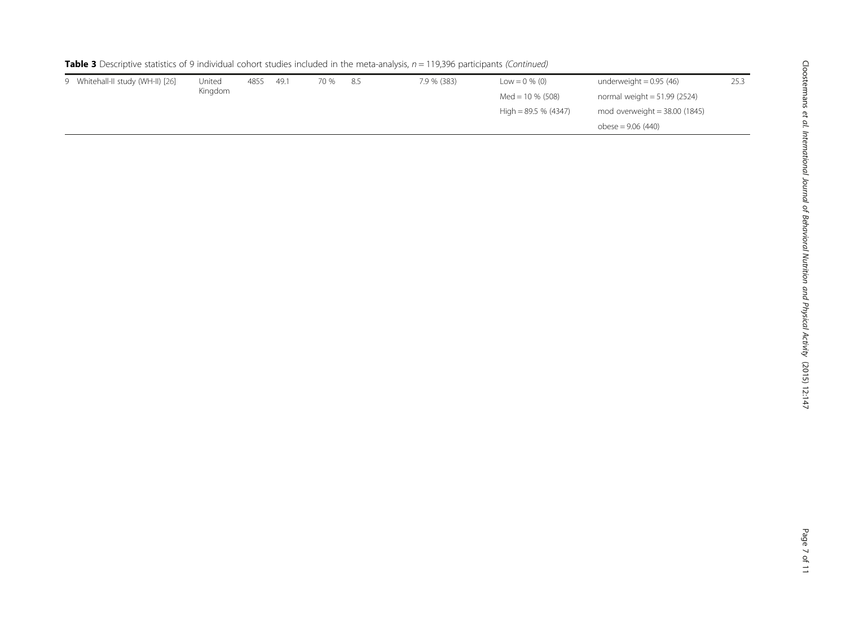| 9 Whitehall-II study (WH-II) [26] | Jnited<br>Kingdom | 4855 | 49.1 | 70 % | -8.5 | 7.9 % (383) | $Low = 0 % (0)$    | underweight $= 0.95(46)$       | 25.3                            |  |
|-----------------------------------|-------------------|------|------|------|------|-------------|--------------------|--------------------------------|---------------------------------|--|
|                                   |                   |      |      |      |      |             | Med = $10\%$ (508) | normal weight = $51.99$ (2524) |                                 |  |
|                                   |                   |      |      |      |      |             |                    | High = $89.5 \% (4347)$        | mod overweight = $38.00$ (1845) |  |
|                                   |                   |      |      |      |      |             |                    |                                | obese = $9.06(440)$             |  |

**Table 3** Descriptive statistics of 9 individual cohort studies included in the meta-analysis,  $n = 119,396$  participants (Continued)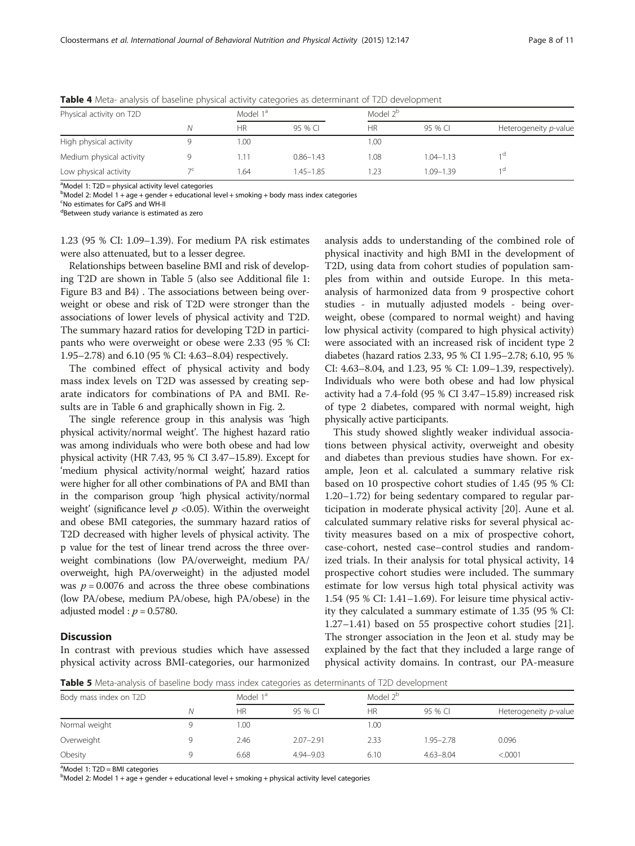| Physical activity on T2D |   | Model 1 <sup>a</sup> |               | Model 2 <sup>b</sup> |               |                       |
|--------------------------|---|----------------------|---------------|----------------------|---------------|-----------------------|
|                          | Ν | HR                   | 95 % CI       | <b>HR</b>            | 95 % CI       | Heterogeneity p-value |
| High physical activity   |   | 1.00                 |               | 1.00                 |               |                       |
| Medium physical activity |   | 1.11                 | $0.86 - 1.43$ | 1.08                 | $1.04 - 1.13$ | 1 U                   |
| Low physical activity    |   | 1.64                 | 1.45-1.85     | 1.23                 | $1.09 - 1.39$ | 1 C                   |

<span id="page-7-0"></span>**Table 4** Meta- analysis of baseline physical activity categories as determinant of T2D development

<sup>a</sup>Model 1: T2D = physical activity level categories

<sup>b</sup>Model 2: Model 1 + age + gender + educational level + smoking + body mass index categories

<sup>c</sup>No estimates for CaPS and WH-II

dBetween study variance is estimated as zero

1.23 (95 % CI: 1.09–1.39). For medium PA risk estimates were also attenuated, but to a lesser degree.

Relationships between baseline BMI and risk of developing T2D are shown in Table 5 (also see Additional file [1](#page-9-0): Figure B3 and B4) . The associations between being overweight or obese and risk of T2D were stronger than the associations of lower levels of physical activity and T2D. The summary hazard ratios for developing T2D in participants who were overweight or obese were 2.33 (95 % CI: 1.95–2.78) and 6.10 (95 % CI: 4.63–8.04) respectively.

The combined effect of physical activity and body mass index levels on T2D was assessed by creating separate indicators for combinations of PA and BMI. Results are in Table [6](#page-8-0) and graphically shown in Fig. [2](#page-8-0).

The single reference group in this analysis was 'high physical activity/normal weight'. The highest hazard ratio was among individuals who were both obese and had low physical activity (HR 7.43, 95 % CI 3.47–15.89). Except for 'medium physical activity/normal weight, hazard ratios ' were higher for all other combinations of PA and BMI than in the comparison group 'high physical activity/normal weight' (significance level  $p \le 0.05$ ). Within the overweight and obese BMI categories, the summary hazard ratios of T2D decreased with higher levels of physical activity. The p value for the test of linear trend across the three overweight combinations (low PA/overweight, medium PA/ overweight, high PA/overweight) in the adjusted model was  $p = 0.0076$  and across the three obese combinations (low PA/obese, medium PA/obese, high PA/obese) in the adjusted model :  $p = 0.5780$ .

# ples from within and outside Europe. In this metaanalysis of harmonized data from 9 prospective cohort studies - in mutually adjusted models - being overweight, obese (compared to normal weight) and having low physical activity (compared to high physical activity) were associated with an increased risk of incident type 2 diabetes (hazard ratios 2.33, 95 % CI 1.95–2.78; 6.10, 95 % CI: 4.63–8.04, and 1.23, 95 % CI: 1.09–1.39, respectively). Individuals who were both obese and had low physical activity had a 7.4-fold (95 % CI 3.47–15.89) increased risk of type 2 diabetes, compared with normal weight, high physically active participants. This study showed slightly weaker individual associa-

analysis adds to understanding of the combined role of physical inactivity and high BMI in the development of T2D, using data from cohort studies of population sam-

tions between physical activity, overweight and obesity and diabetes than previous studies have shown. For example, Jeon et al. calculated a summary relative risk based on 10 prospective cohort studies of 1.45 (95 % CI: 1.20–1.72) for being sedentary compared to regular participation in moderate physical activity [\[20](#page-10-0)]. Aune et al. calculated summary relative risks for several physical activity measures based on a mix of prospective cohort, case-cohort, nested case–control studies and randomized trials. In their analysis for total physical activity, 14 prospective cohort studies were included. The summary estimate for low versus high total physical activity was 1.54 (95 % CI: 1.41–1.69). For leisure time physical activity they calculated a summary estimate of 1.35 (95 % CI: 1.27–1.41) based on 55 prospective cohort studies [\[21](#page-10-0)]. The stronger association in the Jeon et al. study may be explained by the fact that they included a large range of physical activity domains. In contrast, our PA-measure

**Discussion** 

In contrast with previous studies which have assessed physical activity across BMI-categories, our harmonized

**Table 5** Meta-analysis of baseline body mass index categories as determinants of T2D development

| Body mass index on T2D | Model 1 <sup>a</sup> |               | Model 2 <sup>b</sup> |               |                       |
|------------------------|----------------------|---------------|----------------------|---------------|-----------------------|
|                        | HR                   | 95 % CI       | <b>HR</b>            | 95 % CI       | Heterogeneity p-value |
| Normal weight          | 1.00                 |               | 1.00                 |               |                       |
| Overweight             | 2.46                 | $2.07 - 2.91$ | 2.33                 | $1.95 - 2.78$ | 0.096                 |
| Obesity                | 6.68                 | 4.94-9.03     | 6.10                 | $4.63 - 8.04$ | < .0001               |

<sup>a</sup>Model 1: T2D = BMI categories

<sup>b</sup>Model 2: Model 1 + age + gender + educational level + smoking + physical activity level categories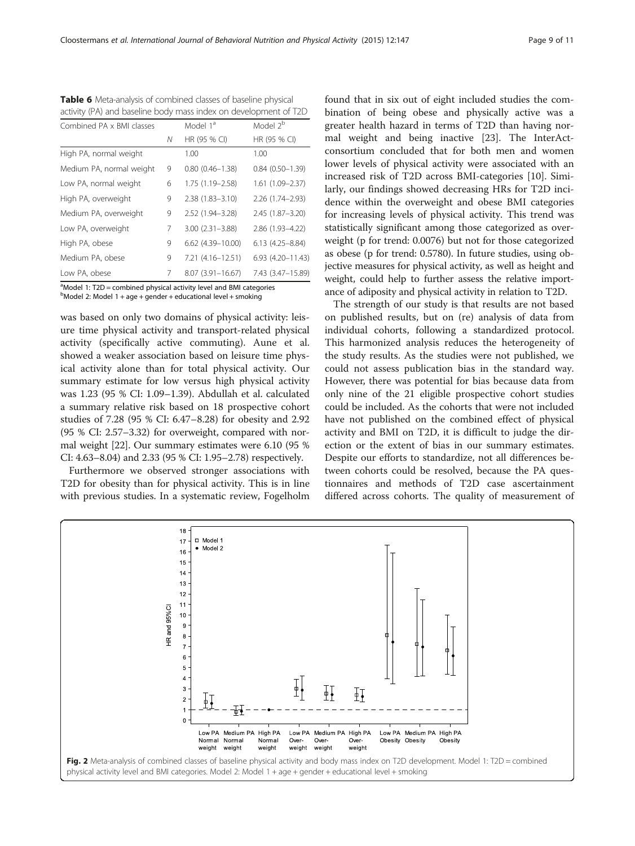<span id="page-8-0"></span>

|  |  |  | Table 6 Meta-analysis of combined classes of baseline physical   |  |
|--|--|--|------------------------------------------------------------------|--|
|  |  |  | activity (PA) and baseline body mass index on development of T2D |  |

| Combined PA x BMI classes |   | Model 1 <sup>a</sup>    | Model 2 <sup>b</sup> |
|---------------------------|---|-------------------------|----------------------|
|                           | Ν | HR (95 % CI)            | HR (95 % CI)         |
| High PA, normal weight    |   | 1.00                    | 1.00                 |
| Medium PA, normal weight  | 9 | $0.80(0.46 - 1.38)$     | $0.84(0.50 - 1.39)$  |
| Low PA, normal weight     | 6 | 1.75 (1.19 - 2.58)      | 1.61 (1.09-2.37)     |
| High PA, overweight       | 9 | $2.38(1.83 - 3.10)$     | 2.26 (1.74-2.93)     |
| Medium PA, overweight     | 9 | 2.52 (1.94-3.28)        | 2.45 (1.87-3.20)     |
| Low PA, overweight        | 7 | $3.00(2.31 - 3.88)$     | 2.86 (1.93-4.22)     |
| High PA, obese            | 9 | $6.62$ $(4.39 - 10.00)$ | $6.13(4.25 - 8.84)$  |
| Medium PA, obese          | 9 | 7.21 (4.16-12.51)       | 6.93 (4.20-11.43)    |
| Low PA, obese             | 7 | $8.07(3.91 - 16.67)$    | 7.43 (3.47-15.89)    |

<sup>a</sup>Model 1: T2D = combined physical activity level and BMI categories <sup>b</sup>Model 2: Model 1 + age + gender + educational level + smoking

was based on only two domains of physical activity: leisure time physical activity and transport-related physical activity (specifically active commuting). Aune et al. showed a weaker association based on leisure time physical activity alone than for total physical activity. Our summary estimate for low versus high physical activity was 1.23 (95 % CI: 1.09–1.39). Abdullah et al. calculated a summary relative risk based on 18 prospective cohort studies of 7.28 (95 % CI: 6.47–8.28) for obesity and 2.92 (95 % CI: 2.57–3.32) for overweight, compared with normal weight [\[22](#page-10-0)]. Our summary estimates were 6.10 (95 % CI: 4.63–8.04) and 2.33 (95 % CI: 1.95–2.78) respectively.

Furthermore we observed stronger associations with T2D for obesity than for physical activity. This is in line with previous studies. In a systematic review, Fogelholm found that in six out of eight included studies the combination of being obese and physically active was a greater health hazard in terms of T2D than having normal weight and being inactive [\[23\]](#page-10-0). The InterActconsortium concluded that for both men and women lower levels of physical activity were associated with an increased risk of T2D across BMI-categories [[10\]](#page-9-0). Similarly, our findings showed decreasing HRs for T2D incidence within the overweight and obese BMI categories for increasing levels of physical activity. This trend was statistically significant among those categorized as overweight (p for trend: 0.0076) but not for those categorized as obese (p for trend: 0.5780). In future studies, using objective measures for physical activity, as well as height and weight, could help to further assess the relative importance of adiposity and physical activity in relation to T2D.

The strength of our study is that results are not based on published results, but on (re) analysis of data from individual cohorts, following a standardized protocol. This harmonized analysis reduces the heterogeneity of the study results. As the studies were not published, we could not assess publication bias in the standard way. However, there was potential for bias because data from only nine of the 21 eligible prospective cohort studies could be included. As the cohorts that were not included have not published on the combined effect of physical activity and BMI on T2D, it is difficult to judge the direction or the extent of bias in our summary estimates. Despite our efforts to standardize, not all differences between cohorts could be resolved, because the PA questionnaires and methods of T2D case ascertainment differed across cohorts. The quality of measurement of

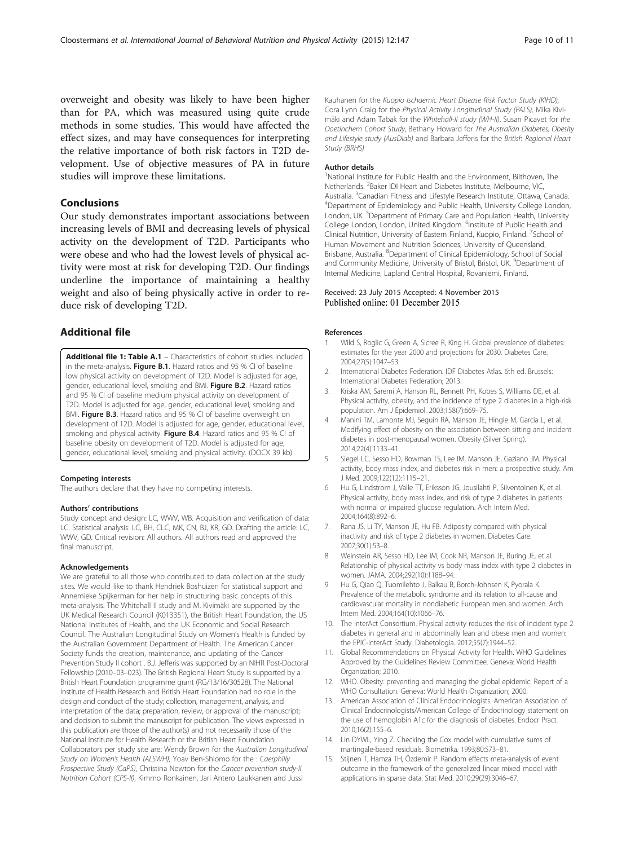<span id="page-9-0"></span>overweight and obesity was likely to have been higher than for PA, which was measured using quite crude methods in some studies. This would have affected the effect sizes, and may have consequences for interpreting the relative importance of both risk factors in T2D development. Use of objective measures of PA in future studies will improve these limitations.

# Conclusions

Our study demonstrates important associations between increasing levels of BMI and decreasing levels of physical activity on the development of T2D. Participants who were obese and who had the lowest levels of physical activity were most at risk for developing T2D. Our findings underline the importance of maintaining a healthy weight and also of being physically active in order to reduce risk of developing T2D.

# Additional file

[Additional file 1: Table A.1](dx.doi.org/10.1186/s12966-015-0304-3) - Characteristics of cohort studies included in the meta-analysis. Figure B.1. Hazard ratios and 95 % CI of baseline low physical activity on development of T2D. Model is adjusted for age, gender, educational level, smoking and BMI. Figure B.2. Hazard ratios and 95 % CI of baseline medium physical activity on development of T2D. Model is adjusted for age, gender, educational level, smoking and BMI. Figure B.3. Hazard ratios and 95 % CI of baseline overweight on development of T2D. Model is adjusted for age, gender, educational level, smoking and physical activity. Figure B.4. Hazard ratios and 95 % CI of baseline obesity on development of T2D. Model is adjusted for age, gender, educational level, smoking and physical activity. (DOCX 39 kb)

#### Competing interests

The authors declare that they have no competing interests.

#### Authors' contributions

Study concept and design: LC, WWV, WB. Acquisition and verification of data: LC. Statistical analysis: LC, BH, CLC, MK, CN, BJ, KR, GD. Drafting the article: LC, WWV, GD. Critical revision: All authors. All authors read and approved the final manuscript.

#### Acknowledgements

We are grateful to all those who contributed to data collection at the study sites. We would like to thank Hendriek Boshuizen for statistical support and Annemieke Spijkerman for her help in structuring basic concepts of this meta-analysis. The Whitehall II study and M. Kivimäki are supported by the UK Medical Research Council (K013351), the British Heart Foundation, the US National Institutes of Health, and the UK Economic and Social Research Council. The Australian Longitudinal Study on Women's Health is funded by the Australian Government Department of Health. The American Cancer Society funds the creation, maintenance, and updating of the Cancer Prevention Study II cohort . B.J. Jefferis was supported by an NIHR Post-Doctoral Fellowship (2010–03–023). The British Regional Heart Study is supported by a British Heart Foundation programme grant (RG/13/16/30528). The National Institute of Health Research and British Heart Foundation had no role in the design and conduct of the study; collection, management, analysis, and interpretation of the data; preparation, review, or approval of the manuscript; and decision to submit the manuscript for publication. The views expressed in this publication are those of the author(s) and not necessarily those of the National Institute for Health Research or the British Heart Foundation. Collaborators per study site are: Wendy Brown for the Australian Longitudinal Study on Women's Health (ALSWH), Yoav Ben-Shlomo for the : Caerphilly Prospective Study (CaPS), Christina Newton for the Cancer prevention study-II Nutrition Cohort (CPS-II), Kimmo Ronkainen, Jari Antero Laukkanen and Jussi

Kauhanen for the Kuopio Ischaemic Heart Disease Risk Factor Study (KIHD), Cora Lynn Craig for the Physical Activity Longitudinal Study (PALS), Mika Kivimäki and Adam Tabak for the Whitehall-II study (WH-II), Susan Picavet for the Doetinchem Cohort Study, Bethany Howard for The Australian Diabetes, Obesity and Lifestyle study (AusDiab) and Barbara Jefferis for the British Regional Heart Study (BRHS)

#### Author details

<sup>1</sup>National Institute for Public Health and the Environment, Bilthoven, The Netherlands. <sup>2</sup>Baker IDI Heart and Diabetes Institute, Melbourne, VIC, Australia. <sup>3</sup> Canadian Fitness and Lifestyle Research Institute, Ottawa, Canada.<br><sup>4</sup> Department of Enidemiology and Public Haalth, University College London <sup>4</sup>Department of Epidemiology and Public Health, University College London, London, UK.<sup>5</sup> Department of Primary Care and Population Health, University College London, London, United Kingdom. <sup>6</sup>Institute of Public Health and Clinical Nutrition, University of Eastern Finland, Kuopio, Finland. <sup>7</sup>School of Human Movement and Nutrition Sciences, University of Queensland, Brisbane, Australia. <sup>8</sup>Department of Clinical Epidemiology, School of Social and Community Medicine, University of Bristol, Bristol, UK. <sup>9</sup>Department of Internal Medicine, Lapland Central Hospital, Rovaniemi, Finland.

#### Received: 23 July 2015 Accepted: 4 November 2015 Published online: 01 December 2015

#### References

- 1. Wild S, Roglic G, Green A, Sicree R, King H. Global prevalence of diabetes: estimates for the year 2000 and projections for 2030. Diabetes Care. 2004;27(5):1047–53.
- 2. International Diabetes Federation. IDF Diabetes Atlas. 6th ed. Brussels: International Diabetes Federation; 2013.
- 3. Kriska AM, Saremi A, Hanson RL, Bennett PH, Kobes S, Williams DE, et al. Physical activity, obesity, and the incidence of type 2 diabetes in a high-risk population. Am J Epidemiol. 2003;158(7):669–75.
- 4. Manini TM, Lamonte MJ, Seguin RA, Manson JE, Hingle M, Garcia L, et al. Modifying effect of obesity on the association between sitting and incident diabetes in post-menopausal women. Obesity (Silver Spring). 2014;22(4):1133–41.
- 5. Siegel LC, Sesso HD, Bowman TS, Lee IM, Manson JE, Gaziano JM. Physical activity, body mass index, and diabetes risk in men: a prospective study. Am J Med. 2009;122(12):1115–21.
- 6. Hu G, Lindstrom J, Valle TT, Eriksson JG, Jousilahti P, Silventoinen K, et al. Physical activity, body mass index, and risk of type 2 diabetes in patients with normal or impaired glucose regulation. Arch Intern Med. 2004;164(8):892–6.
- 7. Rana JS, Li TY, Manson JE, Hu FB. Adiposity compared with physical inactivity and risk of type 2 diabetes in women. Diabetes Care. 2007;30(1):53–8.
- 8. Weinstein AR, Sesso HD, Lee IM, Cook NR, Manson JE, Buring JE, et al. Relationship of physical activity vs body mass index with type 2 diabetes in women. JAMA. 2004;292(10):1188–94.
- 9. Hu G, Qiao Q, Tuomilehto J, Balkau B, Borch-Johnsen K, Pyorala K. Prevalence of the metabolic syndrome and its relation to all-cause and cardiovascular mortality in nondiabetic European men and women. Arch Intern Med. 2004;164(10):1066–76.
- 10. The InterAct Consortium. Physical activity reduces the risk of incident type 2 diabetes in general and in abdominally lean and obese men and women: the EPIC-InterAct Study. Diabetologia. 2012;55(7):1944–52.
- 11. Global Recommendations on Physical Activity for Health. WHO Guidelines Approved by the Guidelines Review Committee. Geneva: World Health Organization; 2010.
- 12. WHO. Obesity: preventing and managing the global epidemic. Report of a WHO Consultation. Geneva: World Health Organization; 2000.
- 13. American Association of Clinical Endocrinologists. American Association of Clinical Endocrinologists/American College of Endocrinology statement on the use of hemoglobin A1c for the diagnosis of diabetes. Endocr Pract. 2010;16(2):155–6.
- 14. Lin DYWL, Ying Z. Checking the Cox model with cumulative sums of martingale-based residuals. Biometrika. 1993;80:573–81.
- 15. Stijnen T, Hamza TH, Özdemir P. Random effects meta-analysis of event outcome in the framework of the generalized linear mixed model with applications in sparse data. Stat Med. 2010;29(29):3046–67.